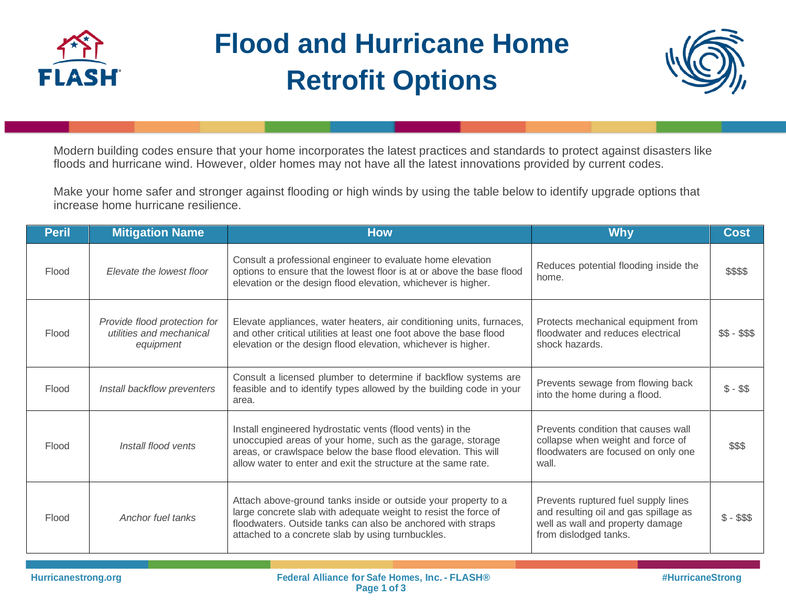

## **Flood and Hurricane Home Retrofit Options**



Modern building codes ensure that your home incorporates the latest practices and standards to protect against disasters like floods and hurricane wind. However, older homes may not have all the latest innovations provided by current codes.

Make your home safer and stronger against flooding or high winds by using the table below to identify upgrade options that increase home hurricane resilience.

| <b>Peril</b> | <b>Mitigation Name</b>                                                | <b>How</b>                                                                                                                                                                                                                                                 | <b>Why</b>                                                                                                                                | <b>Cost</b>  |
|--------------|-----------------------------------------------------------------------|------------------------------------------------------------------------------------------------------------------------------------------------------------------------------------------------------------------------------------------------------------|-------------------------------------------------------------------------------------------------------------------------------------------|--------------|
| Flood        | Elevate the lowest floor                                              | Consult a professional engineer to evaluate home elevation<br>options to ensure that the lowest floor is at or above the base flood<br>elevation or the design flood elevation, whichever is higher.                                                       | Reduces potential flooding inside the<br>home.                                                                                            | \$\$\$\$     |
| Flood        | Provide flood protection for<br>utilities and mechanical<br>equipment | Elevate appliances, water heaters, air conditioning units, furnaces,<br>and other critical utilities at least one foot above the base flood<br>elevation or the design flood elevation, whichever is higher.                                               | Protects mechanical equipment from<br>floodwater and reduces electrical<br>shock hazards.                                                 | $$5 - $55$   |
| Flood        | Install backflow preventers                                           | Consult a licensed plumber to determine if backflow systems are<br>feasible and to identify types allowed by the building code in your<br>area.                                                                                                            | Prevents sewage from flowing back<br>into the home during a flood.                                                                        | $$ - $$      |
| Flood        | Install flood vents                                                   | Install engineered hydrostatic vents (flood vents) in the<br>unoccupied areas of your home, such as the garage, storage<br>areas, or crawlspace below the base flood elevation. This will<br>allow water to enter and exit the structure at the same rate. | Prevents condition that causes wall<br>collapse when weight and force of<br>floodwaters are focused on only one<br>wall.                  | \$\$\$       |
| Flood        | Anchor fuel tanks                                                     | Attach above-ground tanks inside or outside your property to a<br>large concrete slab with adequate weight to resist the force of<br>floodwaters. Outside tanks can also be anchored with straps<br>attached to a concrete slab by using turnbuckles.      | Prevents ruptured fuel supply lines<br>and resulting oil and gas spillage as<br>well as wall and property damage<br>from dislodged tanks. | $$ - $$ \$\$ |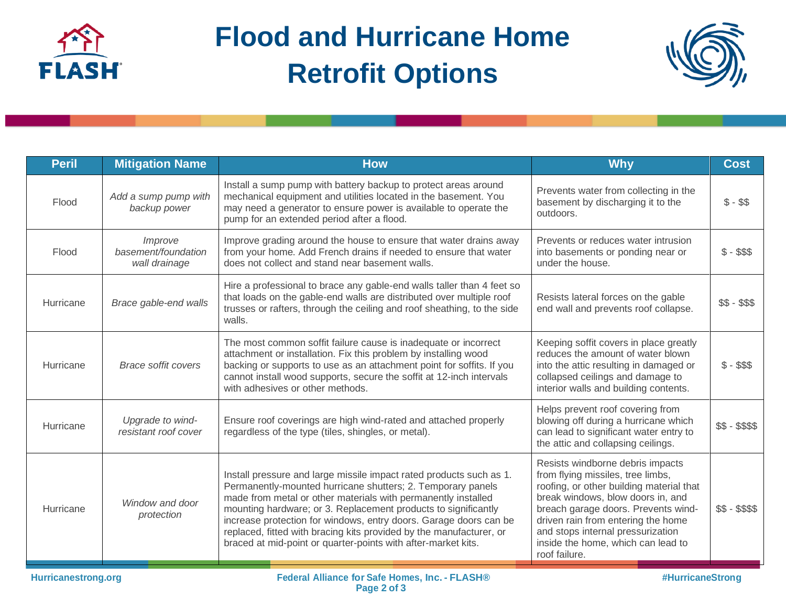

## **Flood and Hurricane Home Retrofit Options**



| <b>Peril</b> | <b>Mitigation Name</b>                          | <b>How</b>                                                                                                                                                                                                                                                                                                                                                                                                                                                                         | <b>Why</b>                                                                                                                                                                                                                                                                                                                      | <b>Cost</b>  |
|--------------|-------------------------------------------------|------------------------------------------------------------------------------------------------------------------------------------------------------------------------------------------------------------------------------------------------------------------------------------------------------------------------------------------------------------------------------------------------------------------------------------------------------------------------------------|---------------------------------------------------------------------------------------------------------------------------------------------------------------------------------------------------------------------------------------------------------------------------------------------------------------------------------|--------------|
| Flood        | Add a sump pump with<br>backup power            | Install a sump pump with battery backup to protect areas around<br>mechanical equipment and utilities located in the basement. You<br>may need a generator to ensure power is available to operate the<br>pump for an extended period after a flood.                                                                                                                                                                                                                               | Prevents water from collecting in the<br>basement by discharging it to the<br>outdoors.                                                                                                                                                                                                                                         | $$ - $$      |
| Flood        | Improve<br>basement/foundation<br>wall drainage | Improve grading around the house to ensure that water drains away<br>from your home. Add French drains if needed to ensure that water<br>does not collect and stand near basement walls.                                                                                                                                                                                                                                                                                           | Prevents or reduces water intrusion<br>into basements or ponding near or<br>under the house.                                                                                                                                                                                                                                    | $$ - $$ \$   |
| Hurricane    | Brace gable-end walls                           | Hire a professional to brace any gable-end walls taller than 4 feet so<br>that loads on the gable-end walls are distributed over multiple roof<br>trusses or rafters, through the ceiling and roof sheathing, to the side<br>walls.                                                                                                                                                                                                                                                | Resists lateral forces on the gable<br>end wall and prevents roof collapse.                                                                                                                                                                                                                                                     | $$S - $S$    |
| Hurricane    | <b>Brace soffit covers</b>                      | The most common soffit failure cause is inadequate or incorrect<br>attachment or installation. Fix this problem by installing wood<br>backing or supports to use as an attachment point for soffits. If you<br>cannot install wood supports, secure the soffit at 12-inch intervals<br>with adhesives or other methods.                                                                                                                                                            | Keeping soffit covers in place greatly<br>reduces the amount of water blown<br>into the attic resulting in damaged or<br>collapsed ceilings and damage to<br>interior walls and building contents.                                                                                                                              | $$ - $$ \$\$ |
| Hurricane    | Upgrade to wind-<br>resistant roof cover        | Ensure roof coverings are high wind-rated and attached properly<br>regardless of the type (tiles, shingles, or metal).                                                                                                                                                                                                                                                                                                                                                             | Helps prevent roof covering from<br>blowing off during a hurricane which<br>can lead to significant water entry to<br>the attic and collapsing ceilings.                                                                                                                                                                        | $$5 - $55$   |
| Hurricane    | Window and door<br>protection                   | Install pressure and large missile impact rated products such as 1.<br>Permanently-mounted hurricane shutters; 2. Temporary panels<br>made from metal or other materials with permanently installed<br>mounting hardware; or 3. Replacement products to significantly<br>increase protection for windows, entry doors. Garage doors can be<br>replaced, fitted with bracing kits provided by the manufacturer, or<br>braced at mid-point or quarter-points with after-market kits. | Resists windborne debris impacts<br>from flying missiles, tree limbs,<br>roofing, or other building material that<br>break windows, blow doors in, and<br>breach garage doors. Prevents wind-<br>driven rain from entering the home<br>and stops internal pressurization<br>inside the home, which can lead to<br>roof failure. | $$S - $$$$   |